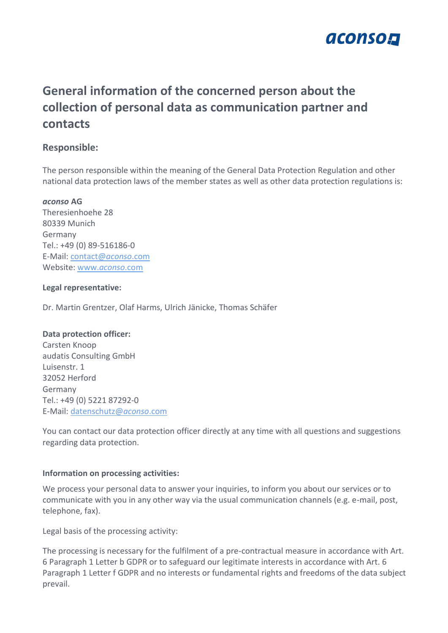

# **General information of the concerned person about the collection of personal data as communication partner and contacts**

# **Responsible:**

The person responsible within the meaning of the General Data Protection Regulation and other national data protection laws of the member states as well as other data protection regulations is:

#### *aconso* **AG**

Theresienhoehe 28 80339 Munich Germany Tel.: +49 (0) 89-516186-0 E-Mail: [contact@](mailto:contact@aconso.com)*aconso*.com Website: www.*[aconso](http://www.aconso.com/)*.com

#### **Legal representative:**

Dr. Martin Grentzer, Olaf Harms, Ulrich Jänicke, Thomas Schäfer

### **Data protection officer:**

Carsten Knoop audatis Consulting GmbH Luisenstr. 1 32052 Herford Germany Tel.: +49 (0) 5221 87292-0 E-Mail: [datenschutz@](mailto:datenschutz@aconso.com)*aconso*.com

You can contact our data protection officer directly at any time with all questions and suggestions regarding data protection.

### **Information on processing activities:**

We process your personal data to answer your inquiries, to inform you about our services or to communicate with you in any other way via the usual communication channels (e.g. e-mail, post, telephone, fax).

Legal basis of the processing activity:

The processing is necessary for the fulfilment of a pre-contractual measure in accordance with Art. 6 Paragraph 1 Letter b GDPR or to safeguard our legitimate interests in accordance with Art. 6 Paragraph 1 Letter f GDPR and no interests or fundamental rights and freedoms of the data subject prevail.